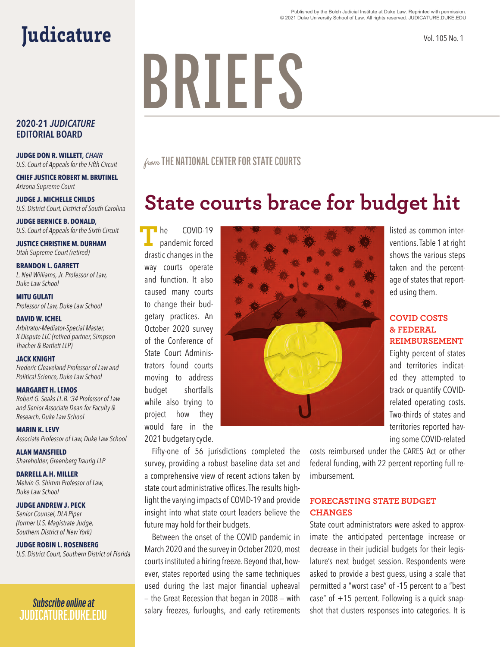#### Published by the Bolch Judicial Institute at Duke Law. Reprinted with permission. © 2021 Duke University School of Law. All rights reserved. JUDICATURE.DUKE.EDU

Vol. 105 No. 1

# **BRIEFS**

from **THE NATIONAL CENTER FOR STATE COURTS**

# **State courts brace for budget hit**

COVID-19 pandemic forced drastic changes in the way courts operate and function. It also caused many courts to change their budgetary practices. An October 2020 survey of the Conference of State Court Administrators found courts moving to address budget shortfalls while also trying to project how they would fare in the 2021 budgetary cycle. **T** he



listed as common interventions. Table 1 at right shows the various steps taken and the percentage of states that reported using them.

## **COVID COSTS & FEDERAL REIMBURSEMENT**

Eighty percent of states and territories indicated they attempted to track or quantify COVIDrelated operating costs. Two-thirds of states and territories reported having some COVID-related

Fifty-one of 56 jurisdictions completed the survey, providing a robust baseline data set and a comprehensive view of recent actions taken by state court administrative offices. The results highlight the varying impacts of COVID-19 and provide insight into what state court leaders believe the future may hold for their budgets.

Between the onset of the COVID pandemic in March 2020 and the survey in October 2020, most courts instituted a hiring freeze. Beyond that, however, states reported using the same techniques used during the last major financial upheaval — the Great Recession that began in 2008 — with salary freezes, furloughs, and early retirements

# Judicature

## **2020-21** *JUDICATURE* **EDITORIAL BOARD**

**JUDGE DON R. WILLETT***, CHAIR U.S. Court of Appeals for the Fifth Circuit*

**CHIEF JUSTICE ROBERT M. BRUTINEL** *Arizona Supreme Court*

**JUDGE J. MICHELLE CHILDS** *U.S. District Court, District of South Carolina*

**JUDGE BERNICE B. DONALD***, U.S. Court of Appeals for the Sixth Circuit*

**JUSTICE CHRISTINE M. DURHAM** *Utah Supreme Court (retired)*

**BRANDON L. GARRETT** *L. Neil Williams, Jr. Professor of Law, Duke Law School*

**MITU GULATI** *Professor of Law, Duke Law School*

#### **DAVID W. ICHEL**

*Arbitrator-Mediator-Special Master, X-Dispute LLC (retired partner, Simpson Thacher & Bartlett LLP)* 

#### **JACK KNIGHT**

*Frederic Cleaveland Professor of Law and Political Science, Duke Law School*

#### **MARGARET H. LEMOS**

*Robert G. Seaks LL.B. '34 Professor of Law and Senior Associate Dean for Faculty & Research, Duke Law School*

**MARIN K. LEVY** *Associate Professor of Law, Duke Law School*

**ALAN MANSFIELD** *Shareholder, Greenberg Traurig LLP*

**DARRELL A.H. MILLER** *Melvin G. Shimm Professor of Law, Duke Law School*

**JUDGE ANDREW J. PECK**

*Senior Counsel, DLA Piper (former U.S. Magistrate Judge, Southern District of New York)*

**JUDGE ROBIN L. ROSENBERG**

*U.S. District Court, Southern District of Florida*

*Subscribe online at*  **JUDICATURE.DUKE.EDU** costs reimbursed under the CARES Act or other

federal funding, with 22 percent reporting full reimbursement.

### **FORECASTING STATE BUDGET CHANGES**

State court administrators were asked to approximate the anticipated percentage increase or decrease in their judicial budgets for their legislature's next budget session. Respondents were asked to provide a best guess, using a scale that permitted a "worst case" of -15 percent to a "best case" of  $+15$  percent. Following is a quick snapshot that clusters responses into categories. It is